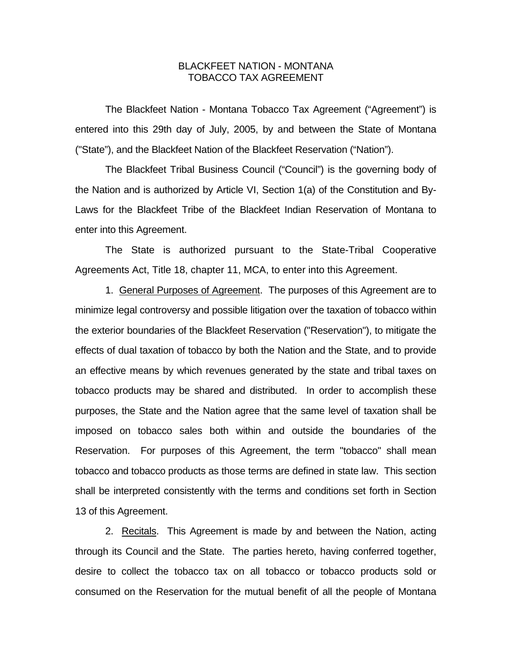## BLACKFEET NATION - MONTANA TOBACCO TAX AGREEMENT

 The Blackfeet Nation - Montana Tobacco Tax Agreement ("Agreement") is entered into this 29th day of July, 2005, by and between the State of Montana ("State"), and the Blackfeet Nation of the Blackfeet Reservation ("Nation").

 The Blackfeet Tribal Business Council ("Council") is the governing body of the Nation and is authorized by Article VI, Section 1(a) of the Constitution and By-Laws for the Blackfeet Tribe of the Blackfeet Indian Reservation of Montana to enter into this Agreement.

The State is authorized pursuant to the State-Tribal Cooperative Agreements Act, Title 18, chapter 11, MCA, to enter into this Agreement.

 1. General Purposes of Agreement. The purposes of this Agreement are to minimize legal controversy and possible litigation over the taxation of tobacco within the exterior boundaries of the Blackfeet Reservation ("Reservation"), to mitigate the effects of dual taxation of tobacco by both the Nation and the State, and to provide an effective means by which revenues generated by the state and tribal taxes on tobacco products may be shared and distributed. In order to accomplish these purposes, the State and the Nation agree that the same level of taxation shall be imposed on tobacco sales both within and outside the boundaries of the Reservation. For purposes of this Agreement, the term "tobacco" shall mean tobacco and tobacco products as those terms are defined in state law. This section shall be interpreted consistently with the terms and conditions set forth in Section 13 of this Agreement.

 2. Recitals. This Agreement is made by and between the Nation, acting through its Council and the State. The parties hereto, having conferred together, desire to collect the tobacco tax on all tobacco or tobacco products sold or consumed on the Reservation for the mutual benefit of all the people of Montana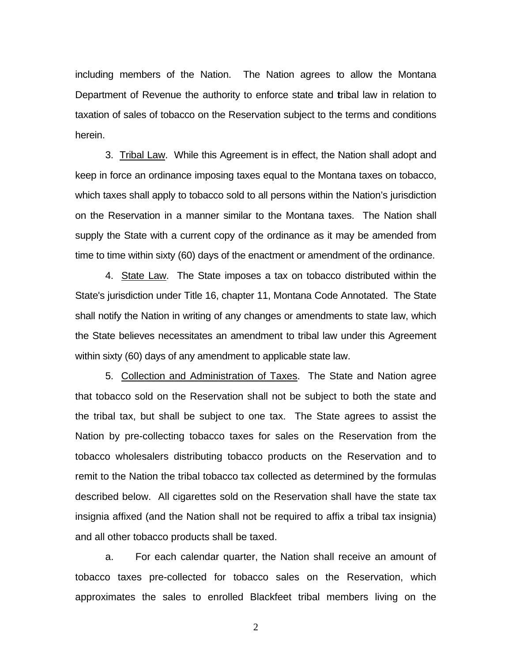including members of the Nation. The Nation agrees to allow the Montana Department of Revenue the authority to enforce state and **t**ribal law in relation to taxation of sales of tobacco on the Reservation subject to the terms and conditions herein.

 3. Tribal Law. While this Agreement is in effect, the Nation shall adopt and keep in force an ordinance imposing taxes equal to the Montana taxes on tobacco, which taxes shall apply to tobacco sold to all persons within the Nation's jurisdiction on the Reservation in a manner similar to the Montana taxes. The Nation shall supply the State with a current copy of the ordinance as it may be amended from time to time within sixty (60) days of the enactment or amendment of the ordinance.

 4. State Law. The State imposes a tax on tobacco distributed within the State's jurisdiction under Title 16, chapter 11, Montana Code Annotated. The State shall notify the Nation in writing of any changes or amendments to state law, which the State believes necessitates an amendment to tribal law under this Agreement within sixty (60) days of any amendment to applicable state law.

 5. Collection and Administration of Taxes. The State and Nation agree that tobacco sold on the Reservation shall not be subject to both the state and the tribal tax, but shall be subject to one tax. The State agrees to assist the Nation by pre-collecting tobacco taxes for sales on the Reservation from the tobacco wholesalers distributing tobacco products on the Reservation and to remit to the Nation the tribal tobacco tax collected as determined by the formulas described below. All cigarettes sold on the Reservation shall have the state tax insignia affixed (and the Nation shall not be required to affix a tribal tax insignia) and all other tobacco products shall be taxed.

 a. For each calendar quarter, the Nation shall receive an amount of tobacco taxes pre-collected for tobacco sales on the Reservation, which approximates the sales to enrolled Blackfeet tribal members living on the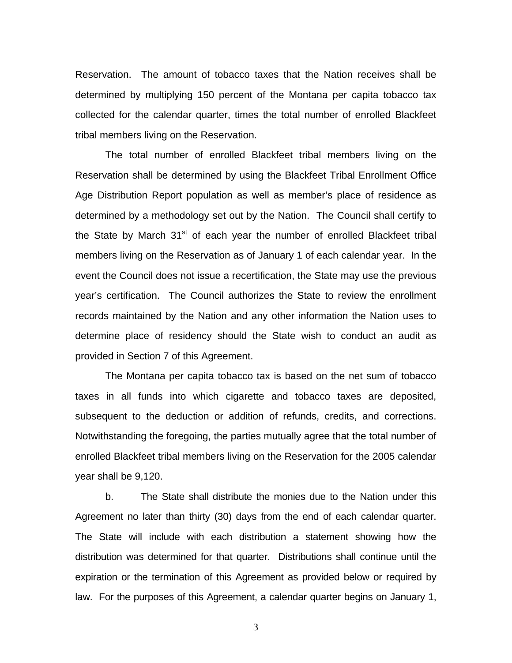Reservation. The amount of tobacco taxes that the Nation receives shall be determined by multiplying 150 percent of the Montana per capita tobacco tax collected for the calendar quarter, times the total number of enrolled Blackfeet tribal members living on the Reservation.

The total number of enrolled Blackfeet tribal members living on the Reservation shall be determined by using the Blackfeet Tribal Enrollment Office Age Distribution Report population as well as member's place of residence as determined by a methodology set out by the Nation. The Council shall certify to the State by March  $31<sup>st</sup>$  of each year the number of enrolled Blackfeet tribal members living on the Reservation as of January 1 of each calendar year. In the event the Council does not issue a recertification, the State may use the previous year's certification. The Council authorizes the State to review the enrollment records maintained by the Nation and any other information the Nation uses to determine place of residency should the State wish to conduct an audit as provided in Section 7 of this Agreement.

The Montana per capita tobacco tax is based on the net sum of tobacco taxes in all funds into which cigarette and tobacco taxes are deposited, subsequent to the deduction or addition of refunds, credits, and corrections. Notwithstanding the foregoing, the parties mutually agree that the total number of enrolled Blackfeet tribal members living on the Reservation for the 2005 calendar year shall be 9,120.

 b. The State shall distribute the monies due to the Nation under this Agreement no later than thirty (30) days from the end of each calendar quarter. The State will include with each distribution a statement showing how the distribution was determined for that quarter. Distributions shall continue until the expiration or the termination of this Agreement as provided below or required by law. For the purposes of this Agreement, a calendar quarter begins on January 1,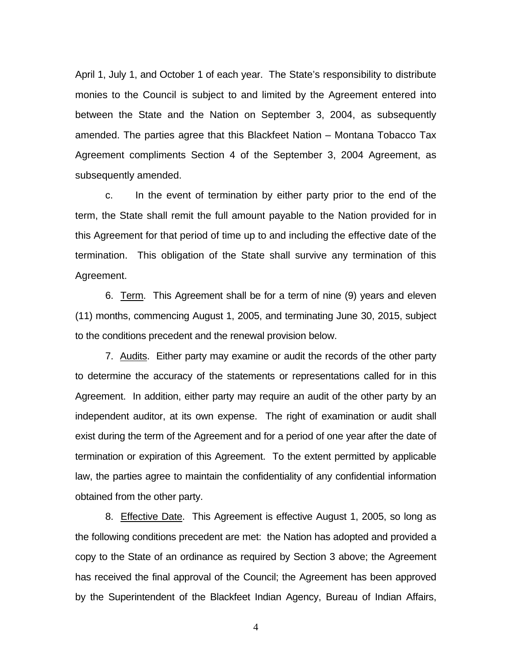April 1, July 1, and October 1 of each year. The State's responsibility to distribute monies to the Council is subject to and limited by the Agreement entered into between the State and the Nation on September 3, 2004, as subsequently amended. The parties agree that this Blackfeet Nation – Montana Tobacco Tax Agreement compliments Section 4 of the September 3, 2004 Agreement, as subsequently amended.

 c. In the event of termination by either party prior to the end of the term, the State shall remit the full amount payable to the Nation provided for in this Agreement for that period of time up to and including the effective date of the termination. This obligation of the State shall survive any termination of this Agreement.

 6. Term. This Agreement shall be for a term of nine (9) years and eleven (11) months, commencing August 1, 2005, and terminating June 30, 2015, subject to the conditions precedent and the renewal provision below.

 7. Audits. Either party may examine or audit the records of the other party to determine the accuracy of the statements or representations called for in this Agreement. In addition, either party may require an audit of the other party by an independent auditor, at its own expense. The right of examination or audit shall exist during the term of the Agreement and for a period of one year after the date of termination or expiration of this Agreement. To the extent permitted by applicable law, the parties agree to maintain the confidentiality of any confidential information obtained from the other party.

 8. Effective Date. This Agreement is effective August 1, 2005, so long as the following conditions precedent are met: the Nation has adopted and provided a copy to the State of an ordinance as required by Section 3 above; the Agreement has received the final approval of the Council; the Agreement has been approved by the Superintendent of the Blackfeet Indian Agency, Bureau of Indian Affairs,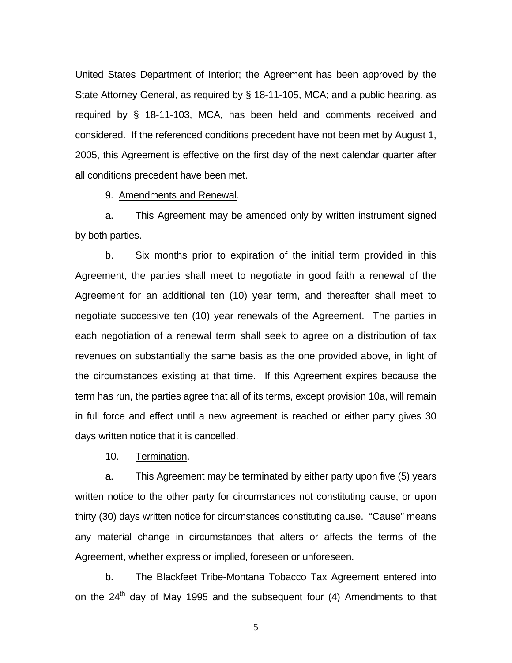United States Department of Interior; the Agreement has been approved by the State Attorney General, as required by § 18-11-105, MCA; and a public hearing, as required by § 18-11-103, MCA, has been held and comments received and considered. If the referenced conditions precedent have not been met by August 1, 2005, this Agreement is effective on the first day of the next calendar quarter after all conditions precedent have been met.

9. Amendments and Renewal.

 a. This Agreement may be amended only by written instrument signed by both parties.

 b. Six months prior to expiration of the initial term provided in this Agreement, the parties shall meet to negotiate in good faith a renewal of the Agreement for an additional ten (10) year term, and thereafter shall meet to negotiate successive ten (10) year renewals of the Agreement. The parties in each negotiation of a renewal term shall seek to agree on a distribution of tax revenues on substantially the same basis as the one provided above, in light of the circumstances existing at that time. If this Agreement expires because the term has run, the parties agree that all of its terms, except provision 10a, will remain in full force and effect until a new agreement is reached or either party gives 30 days written notice that it is cancelled.

10. Termination.

 a. This Agreement may be terminated by either party upon five (5) years written notice to the other party for circumstances not constituting cause, or upon thirty (30) days written notice for circumstances constituting cause. "Cause" means any material change in circumstances that alters or affects the terms of the Agreement, whether express or implied, foreseen or unforeseen.

 b. The Blackfeet Tribe-Montana Tobacco Tax Agreement entered into on the  $24<sup>th</sup>$  day of May 1995 and the subsequent four (4) Amendments to that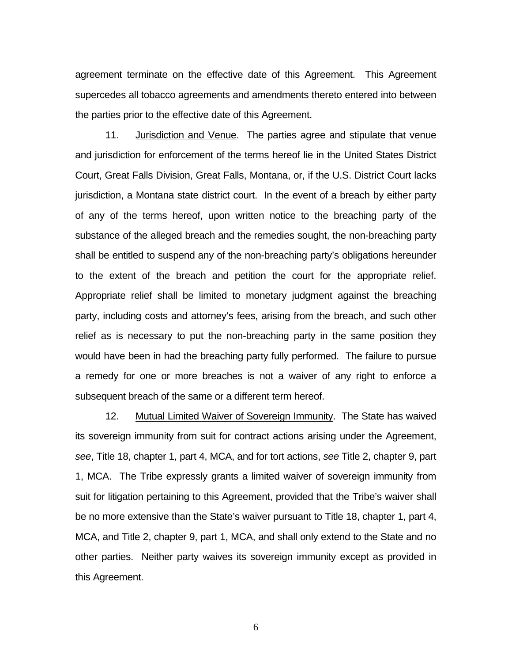agreement terminate on the effective date of this Agreement. This Agreement supercedes all tobacco agreements and amendments thereto entered into between the parties prior to the effective date of this Agreement.

 11. Jurisdiction and Venue. The parties agree and stipulate that venue and jurisdiction for enforcement of the terms hereof lie in the United States District Court, Great Falls Division, Great Falls, Montana, or, if the U.S. District Court lacks jurisdiction, a Montana state district court. In the event of a breach by either party of any of the terms hereof, upon written notice to the breaching party of the substance of the alleged breach and the remedies sought, the non-breaching party shall be entitled to suspend any of the non-breaching party's obligations hereunder to the extent of the breach and petition the court for the appropriate relief. Appropriate relief shall be limited to monetary judgment against the breaching party, including costs and attorney's fees, arising from the breach, and such other relief as is necessary to put the non-breaching party in the same position they would have been in had the breaching party fully performed. The failure to pursue a remedy for one or more breaches is not a waiver of any right to enforce a subsequent breach of the same or a different term hereof.

 12. Mutual Limited Waiver of Sovereign Immunity. The State has waived its sovereign immunity from suit for contract actions arising under the Agreement, *see*, Title 18, chapter 1, part 4, MCA, and for tort actions, *see* Title 2, chapter 9, part 1, MCA. The Tribe expressly grants a limited waiver of sovereign immunity from suit for litigation pertaining to this Agreement, provided that the Tribe's waiver shall be no more extensive than the State's waiver pursuant to Title 18, chapter 1, part 4, MCA, and Title 2, chapter 9, part 1, MCA, and shall only extend to the State and no other parties. Neither party waives its sovereign immunity except as provided in this Agreement.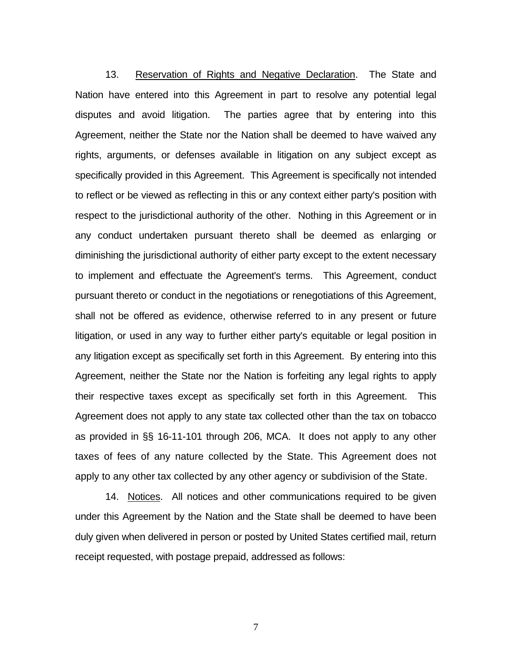13. Reservation of Rights and Negative Declaration. The State and Nation have entered into this Agreement in part to resolve any potential legal disputes and avoid litigation. The parties agree that by entering into this Agreement, neither the State nor the Nation shall be deemed to have waived any rights, arguments, or defenses available in litigation on any subject except as specifically provided in this Agreement. This Agreement is specifically not intended to reflect or be viewed as reflecting in this or any context either party's position with respect to the jurisdictional authority of the other. Nothing in this Agreement or in any conduct undertaken pursuant thereto shall be deemed as enlarging or diminishing the jurisdictional authority of either party except to the extent necessary to implement and effectuate the Agreement's terms. This Agreement, conduct pursuant thereto or conduct in the negotiations or renegotiations of this Agreement, shall not be offered as evidence, otherwise referred to in any present or future litigation, or used in any way to further either party's equitable or legal position in any litigation except as specifically set forth in this Agreement. By entering into this Agreement, neither the State nor the Nation is forfeiting any legal rights to apply their respective taxes except as specifically set forth in this Agreement. This Agreement does not apply to any state tax collected other than the tax on tobacco as provided in §§ 16-11-101 through 206, MCA. It does not apply to any other taxes of fees of any nature collected by the State. This Agreement does not apply to any other tax collected by any other agency or subdivision of the State.

 14. Notices. All notices and other communications required to be given under this Agreement by the Nation and the State shall be deemed to have been duly given when delivered in person or posted by United States certified mail, return receipt requested, with postage prepaid, addressed as follows: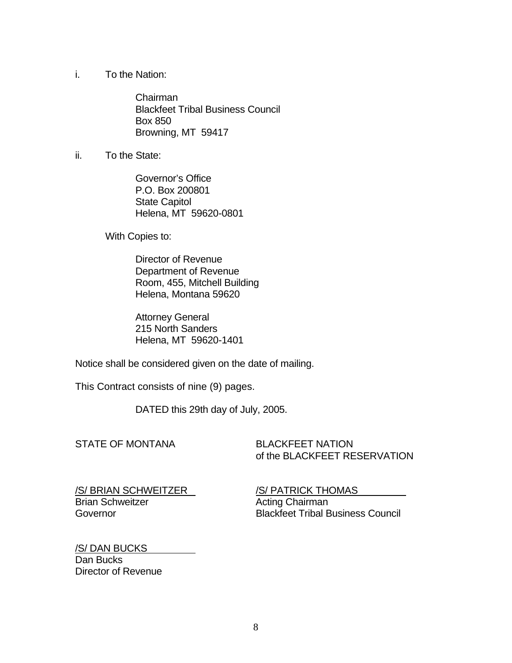i. To the Nation:

 Chairman Blackfeet Tribal Business Council Box 850 Browning, MT 59417

ii. To the State:

 Governor's Office P.O. Box 200801 State Capitol Helena, MT 59620-0801

With Copies to:

 Director of Revenue Department of Revenue Room, 455, Mitchell Building Helena, Montana 59620

 Attorney General 215 North Sanders Helena, MT 59620-1401

Notice shall be considered given on the date of mailing.

This Contract consists of nine (9) pages.

DATED this 29th day of July, 2005.

STATE OF MONTANA BLACKFEET NATION of the BLACKFEET RESERVATION

/S/ BRIAN SCHWEITZER /S/ PATRICK THOMAS Brian Schweitzer **Acting Chairman** 

Governor Blackfeet Tribal Business Council

/S/ DAN BUCKS Dan Bucks Director of Revenue